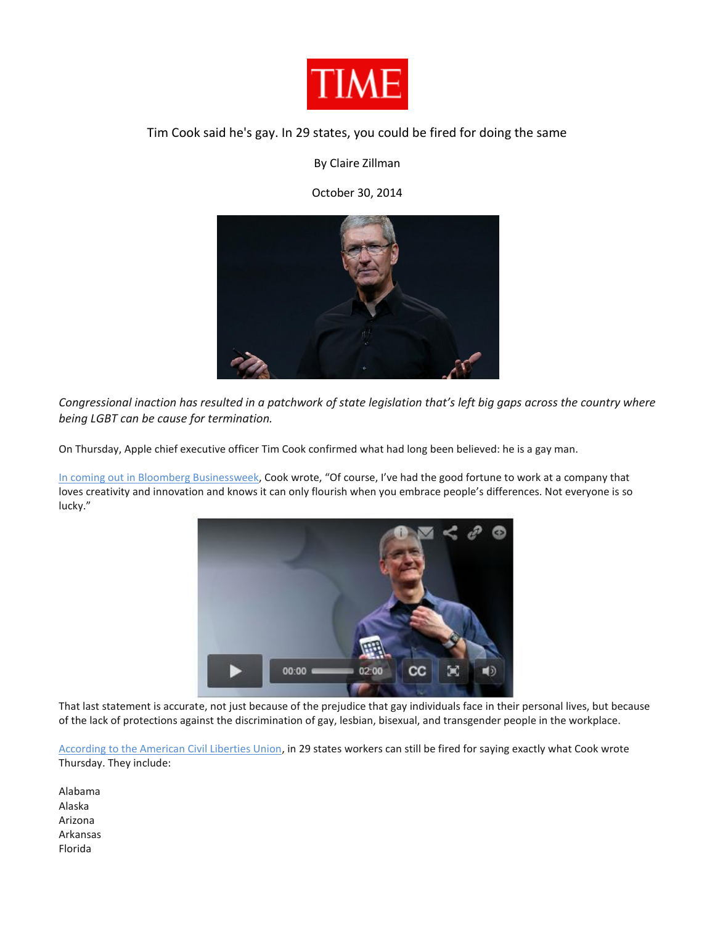

## Tim Cook said he's gay. In 29 states, you could be fired for doing the same

By Claire Zillman

October 30, 2014



*Congressional inaction has resulted in a patchwork of state legislation that's left big gaps across the country where being LGBT can be cause for termination.*

On Thursday, Apple chief executive officer Tim Cook confirmed what had long been believed: he is a gay man.

[In coming out in Bloomberg Businessweek](http://www.businessweek.com/articles/2014-10-30/tim-cook-im-proud-to-be-gay), Cook wrote, "Of course, I've had the good fortune to work at a company that loves creativity and innovation and knows it can only flourish when you embrace people's differences. Not everyone is so lucky."



That last statement is accurate, not just because of the prejudice that gay individuals face in their personal lives, but because of the lack of protections against the discrimination of gay, lesbian, bisexual, and transgender people in the workplace.

[According to the American Civil Liberties Union,](https://www.aclu.org/maps/non-discrimination-laws-state-state-information-map) in 29 states workers can still be fired for saying exactly what Cook wrote Thursday. They include:

Alabama Alaska Arizona Arkansas Florida